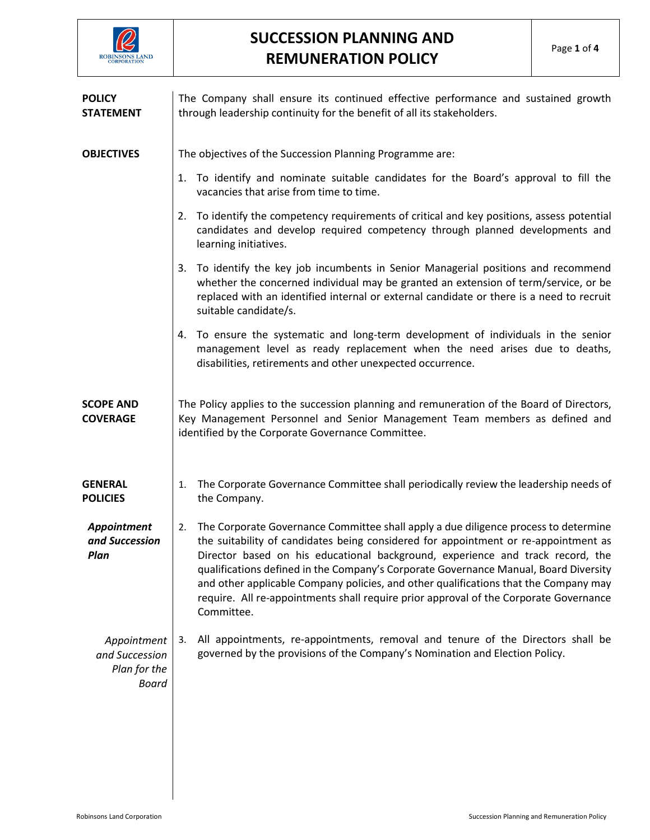

| <b>POLICY</b><br><b>STATEMENT</b>                             | The Company shall ensure its continued effective performance and sustained growth<br>through leadership continuity for the benefit of all its stakeholders.                                                                                                                                                                                                                                                                                                                                                                                               |  |  |
|---------------------------------------------------------------|-----------------------------------------------------------------------------------------------------------------------------------------------------------------------------------------------------------------------------------------------------------------------------------------------------------------------------------------------------------------------------------------------------------------------------------------------------------------------------------------------------------------------------------------------------------|--|--|
| <b>OBJECTIVES</b>                                             | The objectives of the Succession Planning Programme are:                                                                                                                                                                                                                                                                                                                                                                                                                                                                                                  |  |  |
|                                                               | 1. To identify and nominate suitable candidates for the Board's approval to fill the<br>vacancies that arise from time to time.                                                                                                                                                                                                                                                                                                                                                                                                                           |  |  |
|                                                               | 2. To identify the competency requirements of critical and key positions, assess potential<br>candidates and develop required competency through planned developments and<br>learning initiatives.                                                                                                                                                                                                                                                                                                                                                        |  |  |
|                                                               | 3. To identify the key job incumbents in Senior Managerial positions and recommend<br>whether the concerned individual may be granted an extension of term/service, or be<br>replaced with an identified internal or external candidate or there is a need to recruit<br>suitable candidate/s.                                                                                                                                                                                                                                                            |  |  |
|                                                               | To ensure the systematic and long-term development of individuals in the senior<br>4.<br>management level as ready replacement when the need arises due to deaths,<br>disabilities, retirements and other unexpected occurrence.                                                                                                                                                                                                                                                                                                                          |  |  |
| <b>SCOPE AND</b><br><b>COVERAGE</b>                           | The Policy applies to the succession planning and remuneration of the Board of Directors,<br>Key Management Personnel and Senior Management Team members as defined and<br>identified by the Corporate Governance Committee.                                                                                                                                                                                                                                                                                                                              |  |  |
| <b>GENERAL</b><br><b>POLICIES</b>                             | The Corporate Governance Committee shall periodically review the leadership needs of<br>1.<br>the Company.                                                                                                                                                                                                                                                                                                                                                                                                                                                |  |  |
| Appointment<br>and Succession<br>Plan                         | The Corporate Governance Committee shall apply a due diligence process to determine<br>2.<br>the suitability of candidates being considered for appointment or re-appointment as<br>Director based on his educational background, experience and track record, the<br>qualifications defined in the Company's Corporate Governance Manual, Board Diversity<br>and other applicable Company policies, and other qualifications that the Company may<br>require. All re-appointments shall require prior approval of the Corporate Governance<br>Committee. |  |  |
| Appointment<br>and Succession<br>Plan for the<br><b>Board</b> | All appointments, re-appointments, removal and tenure of the Directors shall be<br>3.<br>governed by the provisions of the Company's Nomination and Election Policy.                                                                                                                                                                                                                                                                                                                                                                                      |  |  |
|                                                               |                                                                                                                                                                                                                                                                                                                                                                                                                                                                                                                                                           |  |  |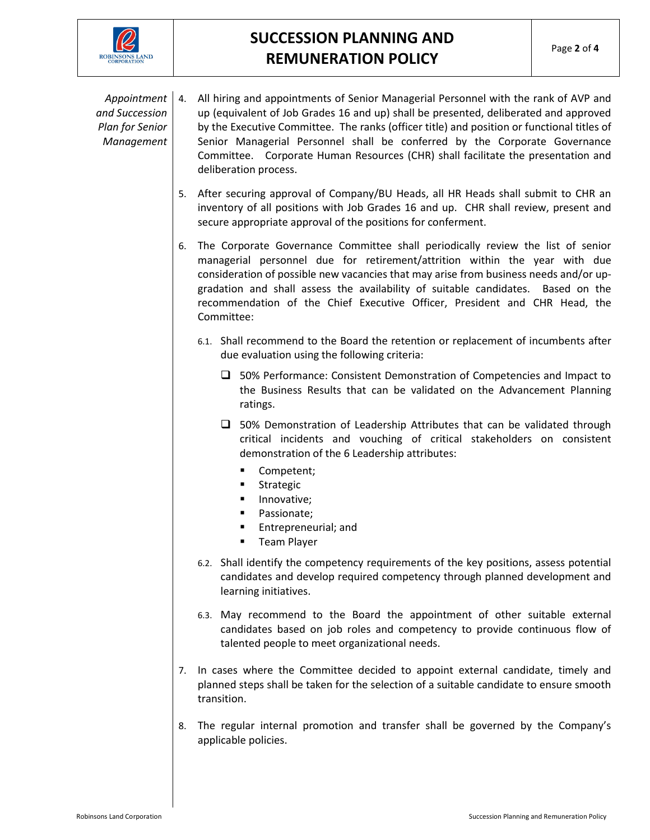

*Appointment and Succession Plan for Senior Management* 4. All hiring and appointments of Senior Managerial Personnel with the rank of AVP and up (equivalent of Job Grades 16 and up) shall be presented, deliberated and approved by the Executive Committee. The ranks (officer title) and position or functional titles of Senior Managerial Personnel shall be conferred by the Corporate Governance Committee. Corporate Human Resources (CHR) shall facilitate the presentation and deliberation process.

- 5. After securing approval of Company/BU Heads, all HR Heads shall submit to CHR an inventory of all positions with Job Grades 16 and up. CHR shall review, present and secure appropriate approval of the positions for conferment.
- 6. The Corporate Governance Committee shall periodically review the list of senior managerial personnel due for retirement/attrition within the year with due consideration of possible new vacancies that may arise from business needs and/or upgradation and shall assess the availability of suitable candidates. Based on the recommendation of the Chief Executive Officer, President and CHR Head, the Committee:
	- 6.1. Shall recommend to the Board the retention or replacement of incumbents after due evaluation using the following criteria:
		- □ 50% Performance: Consistent Demonstration of Competencies and Impact to the Business Results that can be validated on the Advancement Planning ratings.
		- $\square$  50% Demonstration of Leadership Attributes that can be validated through critical incidents and vouching of critical stakeholders on consistent demonstration of the 6 Leadership attributes:
			- Competent;
			- **Strategic**
			- Innovative;
			- **Passionate;**
			- **Entrepreneurial; and**
			- **Team Player**
	- 6.2. Shall identify the competency requirements of the key positions, assess potential candidates and develop required competency through planned development and learning initiatives.
	- 6.3. May recommend to the Board the appointment of other suitable external candidates based on job roles and competency to provide continuous flow of talented people to meet organizational needs.
- 7. In cases where the Committee decided to appoint external candidate, timely and planned steps shall be taken for the selection of a suitable candidate to ensure smooth transition.
- 8. The regular internal promotion and transfer shall be governed by the Company's applicable policies.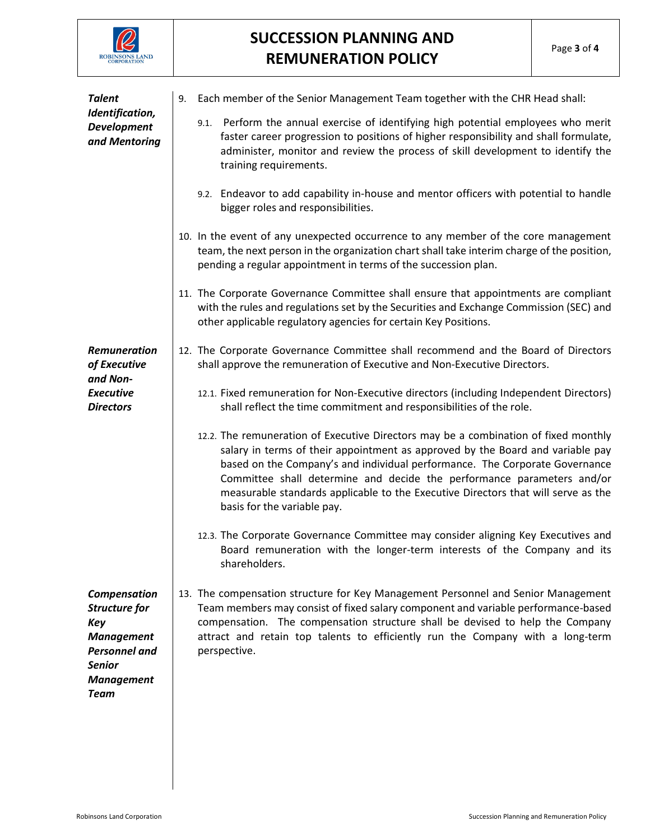

| <b>Talent</b><br>Identification,<br><b>Development</b><br>and Mentoring                                                                       | 9. Each member of the Senior Management Team together with the CHR Head shall:                                                                                                                                                                                                                                                                                                                                                                     |
|-----------------------------------------------------------------------------------------------------------------------------------------------|----------------------------------------------------------------------------------------------------------------------------------------------------------------------------------------------------------------------------------------------------------------------------------------------------------------------------------------------------------------------------------------------------------------------------------------------------|
|                                                                                                                                               | 9.1. Perform the annual exercise of identifying high potential employees who merit<br>faster career progression to positions of higher responsibility and shall formulate,<br>administer, monitor and review the process of skill development to identify the<br>training requirements.                                                                                                                                                            |
|                                                                                                                                               | 9.2. Endeavor to add capability in-house and mentor officers with potential to handle<br>bigger roles and responsibilities.                                                                                                                                                                                                                                                                                                                        |
|                                                                                                                                               | 10. In the event of any unexpected occurrence to any member of the core management<br>team, the next person in the organization chart shall take interim charge of the position,<br>pending a regular appointment in terms of the succession plan.                                                                                                                                                                                                 |
|                                                                                                                                               | 11. The Corporate Governance Committee shall ensure that appointments are compliant<br>with the rules and regulations set by the Securities and Exchange Commission (SEC) and<br>other applicable regulatory agencies for certain Key Positions.                                                                                                                                                                                                   |
| Remuneration<br>of Executive<br>and Non-<br><b>Executive</b><br><b>Directors</b>                                                              | 12. The Corporate Governance Committee shall recommend and the Board of Directors<br>shall approve the remuneration of Executive and Non-Executive Directors.                                                                                                                                                                                                                                                                                      |
|                                                                                                                                               | 12.1. Fixed remuneration for Non-Executive directors (including Independent Directors)<br>shall reflect the time commitment and responsibilities of the role.                                                                                                                                                                                                                                                                                      |
|                                                                                                                                               | 12.2. The remuneration of Executive Directors may be a combination of fixed monthly<br>salary in terms of their appointment as approved by the Board and variable pay<br>based on the Company's and individual performance. The Corporate Governance<br>Committee shall determine and decide the performance parameters and/or<br>measurable standards applicable to the Executive Directors that will serve as the<br>basis for the variable pay. |
|                                                                                                                                               | 12.3. The Corporate Governance Committee may consider aligning Key Executives and<br>Board remuneration with the longer-term interests of the Company and its<br>shareholders.                                                                                                                                                                                                                                                                     |
| Compensation<br><b>Structure for</b><br>Key<br><b>Management</b><br><b>Personnel and</b><br><b>Senior</b><br><b>Management</b><br><b>Team</b> | 13. The compensation structure for Key Management Personnel and Senior Management<br>Team members may consist of fixed salary component and variable performance-based<br>compensation. The compensation structure shall be devised to help the Company<br>attract and retain top talents to efficiently run the Company with a long-term<br>perspective.                                                                                          |
|                                                                                                                                               |                                                                                                                                                                                                                                                                                                                                                                                                                                                    |